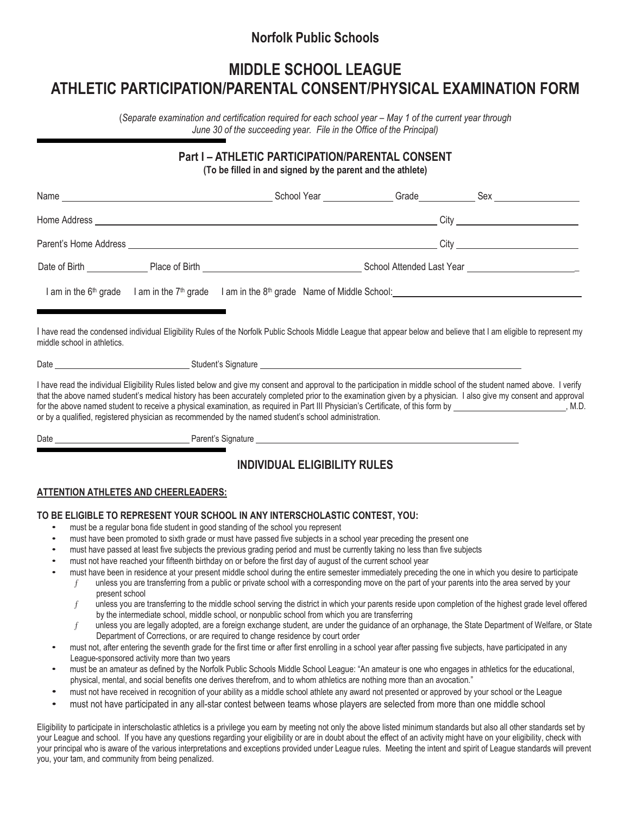# **Norfolk Public Schools**

# **MIDDLE SCHOOL LEAGUE ATHLETIC PARTICIPATION/PARENTAL CONSENT/PHYSICAL EXAMINATION FORM**

(*Separate examination and certification required for each school year – May 1 of the current year through June 30 of the succeeding year. File in the Office of the Principal)*

#### **Part I – ATHLETIC PARTICIPATION/PARENTAL CONSENT (To be filled in and signed by the parent and the athlete)**

|                             | I am in the 6 <sup>th</sup> grade I am in the 7 <sup>th</sup> grade I am in the 8 <sup>th</sup> grade Name of Middle School: <u>Internal and the 8th of the state of the state of the state of the state of the state of the state of the state of the state </u> |                                                                                                                                                                                                                                                                                                                                                                                                                                                                                                             |
|-----------------------------|-------------------------------------------------------------------------------------------------------------------------------------------------------------------------------------------------------------------------------------------------------------------|-------------------------------------------------------------------------------------------------------------------------------------------------------------------------------------------------------------------------------------------------------------------------------------------------------------------------------------------------------------------------------------------------------------------------------------------------------------------------------------------------------------|
| middle school in athletics. |                                                                                                                                                                                                                                                                   | I have read the condensed individual Eligibility Rules of the Norfolk Public Schools Middle League that appear below and believe that I am eligible to represent my                                                                                                                                                                                                                                                                                                                                         |
|                             | or by a qualified, registered physician as recommended by the named student's school administration.                                                                                                                                                              | I have read the individual Eligibility Rules listed below and give my consent and approval to the participation in middle school of the student named above. I verify<br>that the above named student's medical history has been accurately completed prior to the examination given by a physician. I also give my consent and approval<br>for the above named student to receive a physical examination, as required in Part III Physician's Certificate, of this form by _________________________, M.D. |
|                             |                                                                                                                                                                                                                                                                   |                                                                                                                                                                                                                                                                                                                                                                                                                                                                                                             |
|                             | <b>INDIVIDUAL ELIGIBILITY RULES</b>                                                                                                                                                                                                                               |                                                                                                                                                                                                                                                                                                                                                                                                                                                                                                             |

#### **ATTENTION ATHLETES AND CHEERLEADERS:**

#### **TO BE ELIGIBLE TO REPRESENT YOUR SCHOOL IN ANY INTERSCHOLASTIC CONTEST, YOU:**

- must be a regular bona fide student in good standing of the school you represent
- must have been promoted to sixth grade or must have passed five subjects in a school year preceding the present one
- must have passed at least five subjects the previous grading period and must be currently taking no less than five subjects
- must not have reached your fifteenth birthday on or before the first day of august of the current school year
	- must have been in residence at your present middle school during the entire semester immediately preceding the one in which you desire to participate
	- $f$  unless you are transferring from a public or private school with a corresponding move on the part of your parents into the area served by your present school
	- $f$  unless you are transferring to the middle school serving the district in which your parents reside upon completion of the highest grade level offered by the intermediate school, middle school, or nonpublic school from which you are transferring
	- unless you are legally adopted, are a foreign exchange student, are under the guidance of an orphanage, the State Department of Welfare, or State Department of Corrections, or are required to change residence by court order
- must not, after entering the seventh grade for the first time or after first enrolling in a school year after passing five subjects, have participated in any League-sponsored activity more than two years
- must be an amateur as defined by the Norfolk Public Schools Middle School League: "An amateur is one who engages in athletics for the educational, physical, mental, and social benefits one derives therefrom, and to whom athletics are nothing more than an avocation."
- must not have received in recognition of your ability as <sup>a</sup> middle school athlete any award not presented or approved by your school or the League
- must not have participated in any all-star contest between teams whose players are selected from more than one middle school

Eligibility to participate in interscholastic athletics is a privilege you earn by meeting not only the above listed minimum standards but also all other standards set by your League and school. If you have any questions regarding your eligibility or are in doubt about the effect of an activity might have on your eligibility, check with your principal who is aware of the various interpretations and exceptions provided under League rules. Meeting the intent and spirit of League standards will prevent you, your tam, and community from being penalized.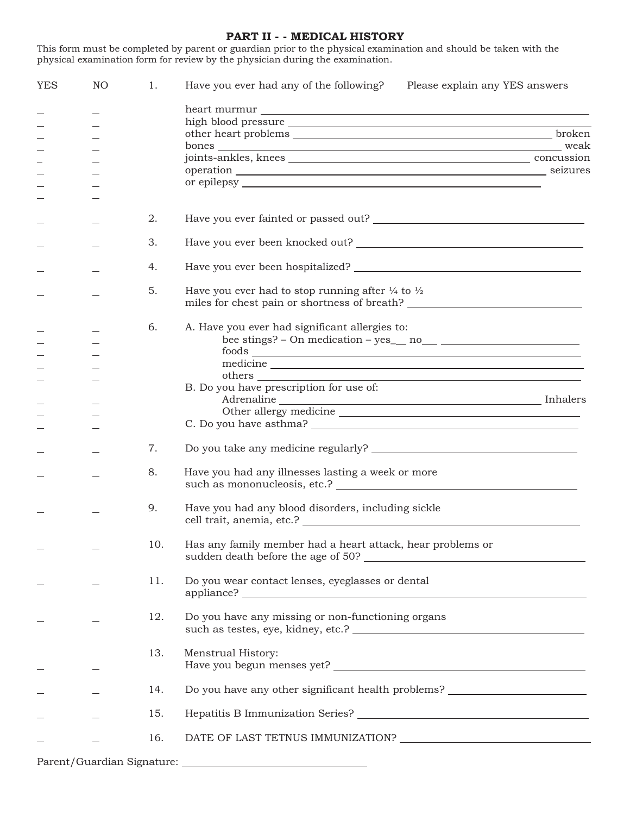#### **PART II - - MEDICAL HISTORY**

This form must be completed by parent or guardian prior to the physical examination and should be taken with the physical examination form for review by the physician during the examination.

| <b>YES</b> | NO. | 1.  | Have you ever had any of the following?<br>Please explain any YES answers                                                                                  |  |
|------------|-----|-----|------------------------------------------------------------------------------------------------------------------------------------------------------------|--|
|            |     |     |                                                                                                                                                            |  |
|            |     |     |                                                                                                                                                            |  |
|            |     |     |                                                                                                                                                            |  |
|            |     |     |                                                                                                                                                            |  |
|            |     |     |                                                                                                                                                            |  |
|            |     |     |                                                                                                                                                            |  |
|            |     |     |                                                                                                                                                            |  |
|            |     |     |                                                                                                                                                            |  |
|            |     |     |                                                                                                                                                            |  |
|            |     | 2.  | Have you ever fainted or passed out?                                                                                                                       |  |
|            |     | 3.  |                                                                                                                                                            |  |
|            |     | 4.  |                                                                                                                                                            |  |
|            |     | 5.  | Have you ever had to stop running after $\frac{1}{4}$ to $\frac{1}{2}$<br>miles for chest pain or shortness of breath? ___________________________________ |  |
|            |     | 6.  | A. Have you ever had significant allergies to:                                                                                                             |  |
|            |     |     |                                                                                                                                                            |  |
|            |     |     |                                                                                                                                                            |  |
|            |     |     |                                                                                                                                                            |  |
|            |     |     |                                                                                                                                                            |  |
|            |     |     | B. Do you have prescription for use of:                                                                                                                    |  |
|            |     |     |                                                                                                                                                            |  |
|            |     |     | C. Do you have asthma?                                                                                                                                     |  |
|            |     |     |                                                                                                                                                            |  |
|            |     | 7.  |                                                                                                                                                            |  |
|            |     | 8.  | Have you had any illnesses lasting a week or more<br>such as mononucleosis, etc.?                                                                          |  |
|            |     | 9.  | Have you had any blood disorders, including sickle                                                                                                         |  |
|            |     | 10. | Has any family member had a heart attack, hear problems or                                                                                                 |  |
|            |     | 11. | Do you wear contact lenses, eyeglasses or dental                                                                                                           |  |
|            |     | 12. | Do you have any missing or non-functioning organs                                                                                                          |  |
|            |     | 13. | Menstrual History:                                                                                                                                         |  |
|            |     | 14. | Do you have any other significant health problems? _____________________________                                                                           |  |
|            |     | 15. |                                                                                                                                                            |  |
|            |     | 16. |                                                                                                                                                            |  |
|            |     |     |                                                                                                                                                            |  |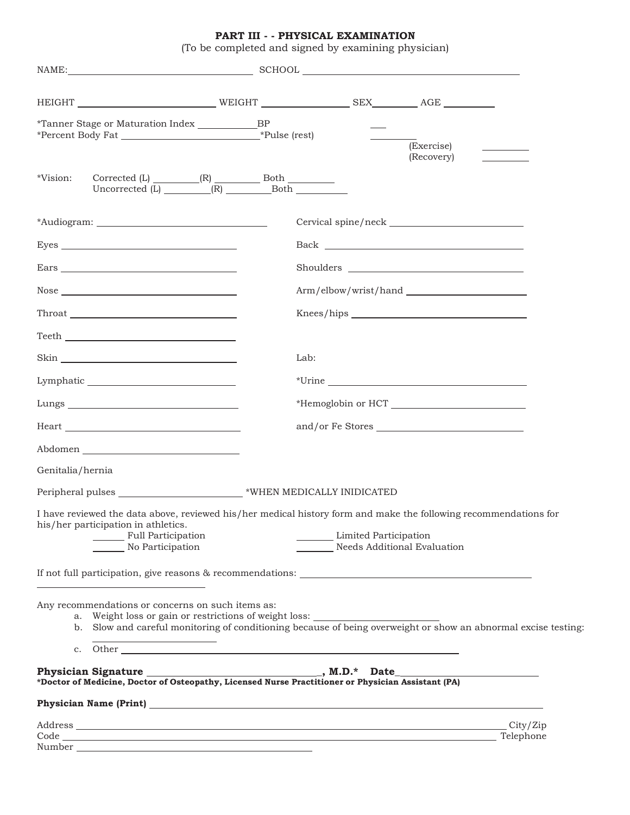**PART III - - PHYSICAL EXAMINATION** (To be completed and signed by examining physician)

|                                                                                                                                                                                                                                                                                                                                                                                                                                                                                                                                                                                                            | HEIGHT NEIGHT NEIGHT NEIGHT SEX AGE                                                                                                                                                                                                        |
|------------------------------------------------------------------------------------------------------------------------------------------------------------------------------------------------------------------------------------------------------------------------------------------------------------------------------------------------------------------------------------------------------------------------------------------------------------------------------------------------------------------------------------------------------------------------------------------------------------|--------------------------------------------------------------------------------------------------------------------------------------------------------------------------------------------------------------------------------------------|
| *Tanner Stage or Maturation Index _____________BP                                                                                                                                                                                                                                                                                                                                                                                                                                                                                                                                                          | (Exercise)<br>(Recovery)                                                                                                                                                                                                                   |
| *Vision:<br>Uncorrected $(L)$ $(R)$ Both                                                                                                                                                                                                                                                                                                                                                                                                                                                                                                                                                                   |                                                                                                                                                                                                                                            |
|                                                                                                                                                                                                                                                                                                                                                                                                                                                                                                                                                                                                            |                                                                                                                                                                                                                                            |
|                                                                                                                                                                                                                                                                                                                                                                                                                                                                                                                                                                                                            |                                                                                                                                                                                                                                            |
|                                                                                                                                                                                                                                                                                                                                                                                                                                                                                                                                                                                                            |                                                                                                                                                                                                                                            |
| $\textbf{Nose} \textcolor{red}{\overbrace{\text{Nose}}}\textcolor{red}{\overbrace{\text{Nose}}}\textcolor{red}{\overbrace{\text{Nose}}}\textcolor{red}{\overbrace{\text{Nose}}}\textcolor{red}{\overbrace{\text{Nose}}}\textcolor{red}{\overbrace{\text{Nose}}}\textcolor{red}{\overbrace{\text{Nose}}}\textcolor{red}{\overbrace{\text{Nose}}}\textcolor{red}{\overbrace{\text{Nose}}}\textcolor{red}{\overbrace{\text{Nose}}}\textcolor{red}{\overbrace{\text{Nose}}}\textcolor{red}{\overbrace{\text{Nose}}}\textcolor{red}{\overbrace{\text{Nose}}}\textcolor{red}{\overbrace{\text{Nose}}}\textcolor$ |                                                                                                                                                                                                                                            |
|                                                                                                                                                                                                                                                                                                                                                                                                                                                                                                                                                                                                            |                                                                                                                                                                                                                                            |
| $\begin{tabular}{c} \bf ~ {\bf Teeth} \end{tabular}$                                                                                                                                                                                                                                                                                                                                                                                                                                                                                                                                                       |                                                                                                                                                                                                                                            |
|                                                                                                                                                                                                                                                                                                                                                                                                                                                                                                                                                                                                            | Lab:                                                                                                                                                                                                                                       |
| $\begin{minipage}[c]{0.9\linewidth} \textbf{Lymphatic} \begin{tabular}{ c c c } \hline \multicolumn{3}{ c }{\textbf{Lymphatic}} \end{tabular} \end{minipage} \end{minipage} \caption{Example of the number of different values of the number of times.} \label{fig:ex1}$                                                                                                                                                                                                                                                                                                                                   |                                                                                                                                                                                                                                            |
|                                                                                                                                                                                                                                                                                                                                                                                                                                                                                                                                                                                                            |                                                                                                                                                                                                                                            |
|                                                                                                                                                                                                                                                                                                                                                                                                                                                                                                                                                                                                            |                                                                                                                                                                                                                                            |
|                                                                                                                                                                                                                                                                                                                                                                                                                                                                                                                                                                                                            |                                                                                                                                                                                                                                            |
| Genitalia/hernia                                                                                                                                                                                                                                                                                                                                                                                                                                                                                                                                                                                           |                                                                                                                                                                                                                                            |
| Peripheral pulses ___________________________*WHEN MEDICALLY INIDICATED                                                                                                                                                                                                                                                                                                                                                                                                                                                                                                                                    |                                                                                                                                                                                                                                            |
| his/her participation in athletics.<br>Full Participation<br>No Participation                                                                                                                                                                                                                                                                                                                                                                                                                                                                                                                              | I have reviewed the data above, reviewed his/her medical history form and make the following recommendations for<br>Limited Participation<br>Needs Additional Evaluation                                                                   |
| <u> 1980 - Johann Barn, amerikan bestemanns og bestemannsnafnar og store og store og store og store og store og s</u>                                                                                                                                                                                                                                                                                                                                                                                                                                                                                      |                                                                                                                                                                                                                                            |
| Any recommendations or concerns on such items as:                                                                                                                                                                                                                                                                                                                                                                                                                                                                                                                                                          |                                                                                                                                                                                                                                            |
|                                                                                                                                                                                                                                                                                                                                                                                                                                                                                                                                                                                                            |                                                                                                                                                                                                                                            |
|                                                                                                                                                                                                                                                                                                                                                                                                                                                                                                                                                                                                            |                                                                                                                                                                                                                                            |
|                                                                                                                                                                                                                                                                                                                                                                                                                                                                                                                                                                                                            |                                                                                                                                                                                                                                            |
|                                                                                                                                                                                                                                                                                                                                                                                                                                                                                                                                                                                                            | Address and the contract of the contract of the contract of the contract of the contract of the contract of the contract of the contract of the contract of the contract of the contract of the contract of the contract of th<br>City/Zip |
|                                                                                                                                                                                                                                                                                                                                                                                                                                                                                                                                                                                                            |                                                                                                                                                                                                                                            |